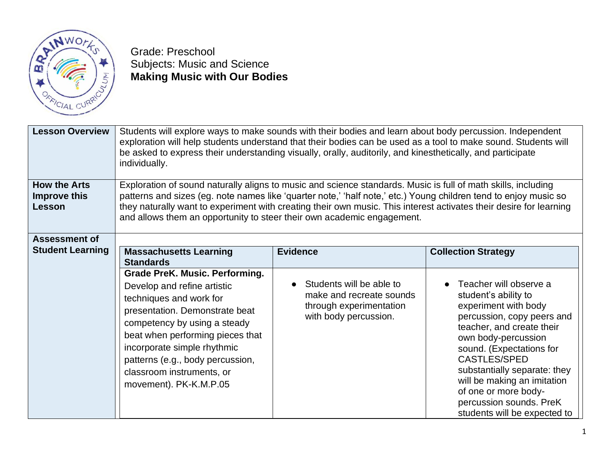

Grade: Preschool Subjects: Music and Science **Making Music with Our Bodies**

| <b>Lesson Overview</b>                        | Students will explore ways to make sounds with their bodies and learn about body percussion. Independent<br>exploration will help students understand that their bodies can be used as a tool to make sound. Students will<br>be asked to express their understanding visually, orally, auditorily, and kinesthetically, and participate<br>individually.                                                                         |                                                                                                                             |                                                                                                                                                                                                                                                                                                                                                                                      |  |
|-----------------------------------------------|-----------------------------------------------------------------------------------------------------------------------------------------------------------------------------------------------------------------------------------------------------------------------------------------------------------------------------------------------------------------------------------------------------------------------------------|-----------------------------------------------------------------------------------------------------------------------------|--------------------------------------------------------------------------------------------------------------------------------------------------------------------------------------------------------------------------------------------------------------------------------------------------------------------------------------------------------------------------------------|--|
| <b>How the Arts</b><br>Improve this<br>Lesson | Exploration of sound naturally aligns to music and science standards. Music is full of math skills, including<br>patterns and sizes (eg. note names like 'quarter note,' 'half note,' etc.) Young children tend to enjoy music so<br>they naturally want to experiment with creating their own music. This interest activates their desire for learning<br>and allows them an opportunity to steer their own academic engagement. |                                                                                                                             |                                                                                                                                                                                                                                                                                                                                                                                      |  |
| <b>Assessment of</b>                          |                                                                                                                                                                                                                                                                                                                                                                                                                                   |                                                                                                                             |                                                                                                                                                                                                                                                                                                                                                                                      |  |
| <b>Student Learning</b>                       | <b>Massachusetts Learning</b><br><b>Standards</b><br><b>Grade PreK. Music. Performing.</b><br>Develop and refine artistic<br>techniques and work for<br>presentation. Demonstrate beat<br>competency by using a steady<br>beat when performing pieces that<br>incorporate simple rhythmic<br>patterns (e.g., body percussion,<br>classroom instruments, or<br>movement). PK-K.M.P.05                                              | <b>Evidence</b><br>Students will be able to<br>make and recreate sounds<br>through experimentation<br>with body percussion. | <b>Collection Strategy</b><br>Teacher will observe a<br>student's ability to<br>experiment with body<br>percussion, copy peers and<br>teacher, and create their<br>own body-percussion<br>sound. (Expectations for<br>CASTLES/SPED<br>substantially separate: they<br>will be making an imitation<br>of one or more body-<br>percussion sounds. PreK<br>students will be expected to |  |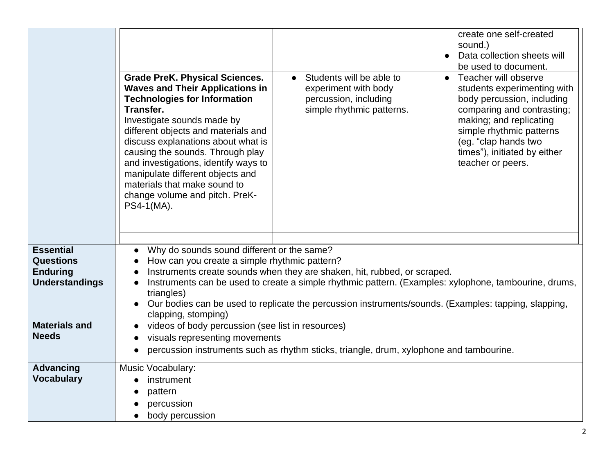| <b>Grade PreK. Physical Sciences.</b><br><b>Waves and Their Applications in</b><br><b>Technologies for Information</b><br><b>Transfer.</b><br>Investigate sounds made by<br>different objects and materials and<br>discuss explanations about what is<br>causing the sounds. Through play<br>and investigations, identify ways to<br>manipulate different objects and<br>materials that make sound to<br>change volume and pitch. PreK-<br>PS4-1(MA). | Students will be able to<br>$\bullet$<br>experiment with body<br>percussion, including<br>simple rhythmic patterns. | create one self-created<br>sound.)<br>Data collection sheets will<br>be used to document.<br>Teacher will observe<br>$\bullet$<br>students experimenting with<br>body percussion, including<br>comparing and contrasting;<br>making; and replicating<br>simple rhythmic patterns<br>(eg. "clap hands two<br>times"), initiated by either<br>teacher or peers. |  |
|-------------------------------------------------------------------------------------------------------------------------------------------------------------------------------------------------------------------------------------------------------------------------------------------------------------------------------------------------------------------------------------------------------------------------------------------------------|---------------------------------------------------------------------------------------------------------------------|---------------------------------------------------------------------------------------------------------------------------------------------------------------------------------------------------------------------------------------------------------------------------------------------------------------------------------------------------------------|--|
| $\bullet$                                                                                                                                                                                                                                                                                                                                                                                                                                             |                                                                                                                     |                                                                                                                                                                                                                                                                                                                                                               |  |
| How can you create a simple rhythmic pattern?                                                                                                                                                                                                                                                                                                                                                                                                         |                                                                                                                     |                                                                                                                                                                                                                                                                                                                                                               |  |
| Instruments create sounds when they are shaken, hit, rubbed, or scraped.<br>$\bullet$                                                                                                                                                                                                                                                                                                                                                                 |                                                                                                                     |                                                                                                                                                                                                                                                                                                                                                               |  |
|                                                                                                                                                                                                                                                                                                                                                                                                                                                       |                                                                                                                     |                                                                                                                                                                                                                                                                                                                                                               |  |
| Our bodies can be used to replicate the percussion instruments/sounds. (Examples: tapping, slapping,<br>clapping, stomping)                                                                                                                                                                                                                                                                                                                           |                                                                                                                     |                                                                                                                                                                                                                                                                                                                                                               |  |
| videos of body percussion (see list in resources)<br>$\bullet$                                                                                                                                                                                                                                                                                                                                                                                        |                                                                                                                     |                                                                                                                                                                                                                                                                                                                                                               |  |
|                                                                                                                                                                                                                                                                                                                                                                                                                                                       |                                                                                                                     |                                                                                                                                                                                                                                                                                                                                                               |  |
| percussion instruments such as rhythm sticks, triangle, drum, xylophone and tambourine.                                                                                                                                                                                                                                                                                                                                                               |                                                                                                                     |                                                                                                                                                                                                                                                                                                                                                               |  |
| Music Vocabulary:                                                                                                                                                                                                                                                                                                                                                                                                                                     |                                                                                                                     |                                                                                                                                                                                                                                                                                                                                                               |  |
|                                                                                                                                                                                                                                                                                                                                                                                                                                                       |                                                                                                                     |                                                                                                                                                                                                                                                                                                                                                               |  |
|                                                                                                                                                                                                                                                                                                                                                                                                                                                       |                                                                                                                     |                                                                                                                                                                                                                                                                                                                                                               |  |
| body percussion                                                                                                                                                                                                                                                                                                                                                                                                                                       |                                                                                                                     |                                                                                                                                                                                                                                                                                                                                                               |  |
|                                                                                                                                                                                                                                                                                                                                                                                                                                                       | triangles)<br>instrument<br>pattern<br>percussion                                                                   | Why do sounds sound different or the same?<br>Instruments can be used to create a simple rhythmic pattern. (Examples: xylophone, tambourine, drums,<br>visuals representing movements                                                                                                                                                                         |  |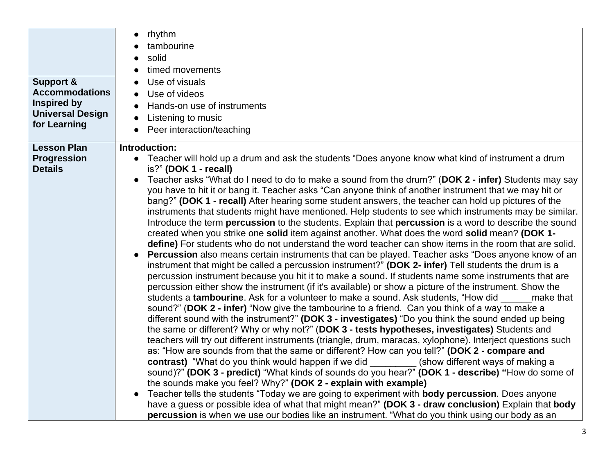| <b>Support &amp;</b><br><b>Accommodations</b><br><b>Inspired by</b><br><b>Universal Design</b><br>for Learning | rhythm<br>$\bullet$<br>tambourine<br>solid<br>timed movements<br>Use of visuals<br>$\bullet$<br>Use of videos<br>$\bullet$<br>Hands-on use of instruments<br>Listening to music                                                                                                                                                                                                                                                                                                                                                                                                                                                                                                                                                                                                                                                                                                                                                                                                                                                                                                                                                                                                                                                                                                                                                                                                                                                                                                                                                                                                                                                                                                                                                                                                                                                                                                                                                                                                                                                                                                                                                                                                                                                                                                                                                                                                                                                                                                                                                                                                                       |
|----------------------------------------------------------------------------------------------------------------|-------------------------------------------------------------------------------------------------------------------------------------------------------------------------------------------------------------------------------------------------------------------------------------------------------------------------------------------------------------------------------------------------------------------------------------------------------------------------------------------------------------------------------------------------------------------------------------------------------------------------------------------------------------------------------------------------------------------------------------------------------------------------------------------------------------------------------------------------------------------------------------------------------------------------------------------------------------------------------------------------------------------------------------------------------------------------------------------------------------------------------------------------------------------------------------------------------------------------------------------------------------------------------------------------------------------------------------------------------------------------------------------------------------------------------------------------------------------------------------------------------------------------------------------------------------------------------------------------------------------------------------------------------------------------------------------------------------------------------------------------------------------------------------------------------------------------------------------------------------------------------------------------------------------------------------------------------------------------------------------------------------------------------------------------------------------------------------------------------------------------------------------------------------------------------------------------------------------------------------------------------------------------------------------------------------------------------------------------------------------------------------------------------------------------------------------------------------------------------------------------------------------------------------------------------------------------------------------------------|
| <b>Lesson Plan</b><br><b>Progression</b><br><b>Details</b>                                                     | Peer interaction/teaching<br>$\bullet$<br>Introduction:<br>• Teacher will hold up a drum and ask the students "Does anyone know what kind of instrument a drum<br>is?" (DOK 1 - recall)<br>Teacher asks "What do I need to do to make a sound from the drum?" (DOK 2 - infer) Students may say<br>you have to hit it or bang it. Teacher asks "Can anyone think of another instrument that we may hit or<br>bang?" (DOK 1 - recall) After hearing some student answers, the teacher can hold up pictures of the<br>instruments that students might have mentioned. Help students to see which instruments may be similar.<br>Introduce the term percussion to the students. Explain that percussion is a word to describe the sound<br>created when you strike one solid item against another. What does the word solid mean? (DOK 1-<br>define) For students who do not understand the word teacher can show items in the room that are solid.<br><b>Percussion</b> also means certain instruments that can be played. Teacher asks "Does anyone know of an<br>instrument that might be called a percussion instrument?" (DOK 2- infer) Tell students the drum is a<br>percussion instrument because you hit it to make a sound. If students name some instruments that are<br>percussion either show the instrument (if it's available) or show a picture of the instrument. Show the<br>students a tambourine. Ask for a volunteer to make a sound. Ask students, "How did<br>make that<br>sound?" (DOK 2 - infer) "Now give the tambourine to a friend. Can you think of a way to make a<br>different sound with the instrument?" (DOK 3 - investigates) "Do you think the sound ended up being<br>the same or different? Why or why not?" (DOK 3 - tests hypotheses, investigates) Students and<br>teachers will try out different instruments (triangle, drum, maracas, xylophone). Interject questions such<br>as: "How are sounds from that the same or different? How can you tell?" (DOK 2 - compare and<br><b>contrast)</b> "What do you think would happen if we did (show different ways of making a<br>sound)?" (DOK 3 - predict) "What kinds of sounds do you hear?" (DOK 1 - describe) "How do some of<br>the sounds make you feel? Why?" (DOK 2 - explain with example)<br>Teacher tells the students "Today we are going to experiment with body percussion. Does anyone<br>have a guess or possible idea of what that might mean?" (DOK 3 - draw conclusion) Explain that body<br>percussion is when we use our bodies like an instrument. "What do you think using our body as an |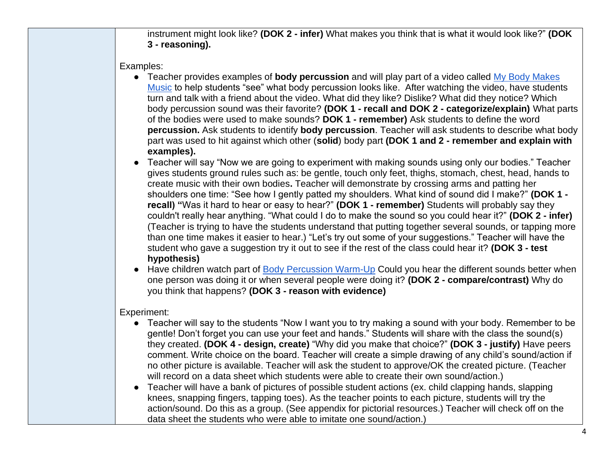instrument might look like? **(DOK 2 - infer)** What makes you think that is what it would look like?" **(DOK 3 - reasoning).**

Examples:

- Teacher provides examples of **body percussion** and will play part of a video called [My Body Makes](https://youtu.be/quCL8DL7nu8)  [Music](https://youtu.be/quCL8DL7nu8) to help students "see" what body percussion looks like.After watching the video, have students turn and talk with a friend about the video. What did they like? Dislike? What did they notice? Which body percussion sound was their favorite? **(DOK 1 - recall and DOK 2 - categorize/explain)** What parts of the bodies were used to make sounds? **DOK 1 - remember)** Ask students to define the word **percussion.** Ask students to identify **body percussion**. Teacher will ask students to describe what body part was used to hit against which other (**solid**) body part **(DOK 1 and 2 - remember and explain with examples).**
- Teacher will say "Now we are going to experiment with making sounds using only our bodies." Teacher gives students ground rules such as: be gentle, touch only feet, thighs, stomach, chest, head, hands to create music with their own bodies**.** Teacher will demonstrate by crossing arms and patting her shoulders one time: "See how I gently patted my shoulders. What kind of sound did I make?" **(DOK 1 recall) "**Was it hard to hear or easy to hear?" **(DOK 1 - remember)** Students will probably say they couldn't really hear anything. "What could I do to make the sound so you could hear it?" **(DOK 2 - infer)**  (Teacher is trying to have the students understand that putting together several sounds, or tapping more than one time makes it easier to hear.) "Let's try out some of your suggestions." Teacher will have the student who gave a suggestion try it out to see if the rest of the class could hear it? **(DOK 3 - test hypothesis)**
- Have children watch part of [Body Percussion Warm-Up](https://youtu.be/zsXOehynKJ8) Could you hear the different sounds better when one person was doing it or when several people were doing it? **(DOK 2 - compare/contrast)** Why do you think that happens? **(DOK 3 - reason with evidence)**

Experiment:

- Teacher will say to the students "Now I want you to try making a sound with your body. Remember to be gentle! Don't forget you can use your feet and hands." Students will share with the class the sound(s) they created. **(DOK 4 - design, create)** "Why did you make that choice?" **(DOK 3 - justify)** Have peers comment. Write choice on the board. Teacher will create a simple drawing of any child's sound/action if no other picture is available. Teacher will ask the student to approve/OK the created picture. (Teacher will record on a data sheet which students were able to create their own sound/action.)
- Teacher will have a bank of pictures of possible student actions (ex. child clapping hands, slapping knees, snapping fingers, tapping toes). As the teacher points to each picture, students will try the action/sound. Do this as a group. (See appendix for pictorial resources.) Teacher will check off on the data sheet the students who were able to imitate one sound/action.)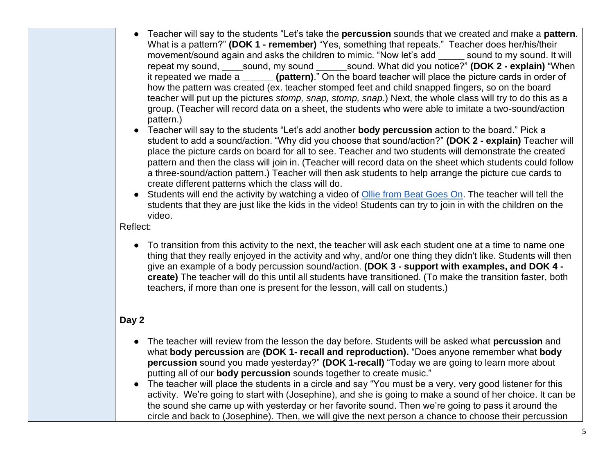| Teacher will say to the students "Let's take the percussion sounds that we created and make a pattern.<br>What is a pattern?" (DOK 1 - remember) "Yes, something that repeats." Teacher does her/his/their<br>movement/sound again and asks the children to mimic. "Now let's add sound to my sound. It will<br>repeat my sound, sound, my sound sound. What did you notice?" (DOK 2 - explain) "When<br>it repeated we made $a \_$ (pattern)." On the board teacher will place the picture cards in order of<br>how the pattern was created (ex. teacher stomped feet and child snapped fingers, so on the board<br>teacher will put up the pictures stomp, snap, stomp, snap.) Next, the whole class will try to do this as a<br>group. (Teacher will record data on a sheet, the students who were able to imitate a two-sound/action<br>pattern.)<br>Teacher will say to the students "Let's add another <b>body percussion</b> action to the board." Pick a<br>student to add a sound/action. "Why did you choose that sound/action?" (DOK 2 - explain) Teacher will<br>place the picture cards on board for all to see. Teacher and two students will demonstrate the created<br>pattern and then the class will join in. (Teacher will record data on the sheet which students could follow<br>a three-sound/action pattern.) Teacher will then ask students to help arrange the picture cue cards to<br>create different patterns which the class will do.<br>Students will end the activity by watching a video of Ollie from Beat Goes On. The teacher will tell the<br>$\bullet$<br>students that they are just like the kids in the video! Students can try to join in with the children on the<br>video.<br>Reflect: |
|-----------------------------------------------------------------------------------------------------------------------------------------------------------------------------------------------------------------------------------------------------------------------------------------------------------------------------------------------------------------------------------------------------------------------------------------------------------------------------------------------------------------------------------------------------------------------------------------------------------------------------------------------------------------------------------------------------------------------------------------------------------------------------------------------------------------------------------------------------------------------------------------------------------------------------------------------------------------------------------------------------------------------------------------------------------------------------------------------------------------------------------------------------------------------------------------------------------------------------------------------------------------------------------------------------------------------------------------------------------------------------------------------------------------------------------------------------------------------------------------------------------------------------------------------------------------------------------------------------------------------------------------------------------------------------------------------------------------------------------|
| To transition from this activity to the next, the teacher will ask each student one at a time to name one<br>$\bullet$<br>thing that they really enjoyed in the activity and why, and/or one thing they didn't like. Students will then<br>give an example of a body percussion sound/action. (DOK 3 - support with examples, and DOK 4 -<br>create) The teacher will do this until all students have transitioned. (To make the transition faster, both<br>teachers, if more than one is present for the lesson, will call on students.)                                                                                                                                                                                                                                                                                                                                                                                                                                                                                                                                                                                                                                                                                                                                                                                                                                                                                                                                                                                                                                                                                                                                                                                         |
| Day 2                                                                                                                                                                                                                                                                                                                                                                                                                                                                                                                                                                                                                                                                                                                                                                                                                                                                                                                                                                                                                                                                                                                                                                                                                                                                                                                                                                                                                                                                                                                                                                                                                                                                                                                             |
| The teacher will review from the lesson the day before. Students will be asked what percussion and<br>what body percussion are (DOK 1- recall and reproduction). "Does anyone remember what body<br>percussion sound you made yesterday?" (DOK 1-recall) "Today we are going to learn more about<br>putting all of our body percussion sounds together to create music."<br>The teacher will place the students in a circle and say "You must be a very, very good listener for this<br>activity. We're going to start with (Josephine), and she is going to make a sound of her choice. It can be<br>the sound she came up with yesterday or her favorite sound. Then we're going to pass it around the                                                                                                                                                                                                                                                                                                                                                                                                                                                                                                                                                                                                                                                                                                                                                                                                                                                                                                                                                                                                                          |

circle and back to (Josephine). Then, we will give the next person a chance to choose their percussion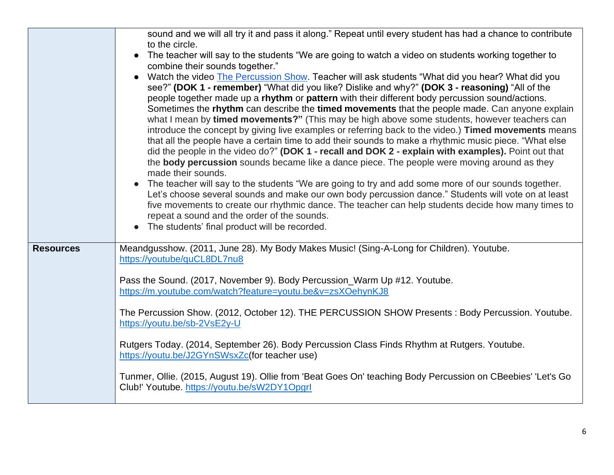|                  | sound and we will all try it and pass it along." Repeat until every student has had a chance to contribute<br>to the circle.                                                                      |  |  |  |
|------------------|---------------------------------------------------------------------------------------------------------------------------------------------------------------------------------------------------|--|--|--|
|                  | • The teacher will say to the students "We are going to watch a video on students working together to                                                                                             |  |  |  |
|                  | combine their sounds together."                                                                                                                                                                   |  |  |  |
|                  | Watch the video The Percussion Show. Teacher will ask students "What did you hear? What did you                                                                                                   |  |  |  |
|                  | see?" (DOK 1 - remember) "What did you like? Dislike and why?" (DOK 3 - reasoning) "All of the<br>people together made up a rhythm or pattern with their different body percussion sound/actions. |  |  |  |
|                  | Sometimes the rhythm can describe the timed movements that the people made. Can anyone explain                                                                                                    |  |  |  |
|                  | what I mean by timed movements?" (This may be high above some students, however teachers can                                                                                                      |  |  |  |
|                  | introduce the concept by giving live examples or referring back to the video.) Timed movements means                                                                                              |  |  |  |
|                  | that all the people have a certain time to add their sounds to make a rhythmic music piece. "What else                                                                                            |  |  |  |
|                  | did the people in the video do?" (DOK 1 - recall and DOK 2 - explain with examples). Point out that                                                                                               |  |  |  |
|                  | the body percussion sounds became like a dance piece. The people were moving around as they<br>made their sounds.                                                                                 |  |  |  |
|                  | The teacher will say to the students "We are going to try and add some more of our sounds together.                                                                                               |  |  |  |
|                  | Let's choose several sounds and make our own body percussion dance." Students will vote on at least                                                                                               |  |  |  |
|                  | five movements to create our rhythmic dance. The teacher can help students decide how many times to                                                                                               |  |  |  |
|                  | repeat a sound and the order of the sounds.                                                                                                                                                       |  |  |  |
|                  |                                                                                                                                                                                                   |  |  |  |
|                  | The students' final product will be recorded.                                                                                                                                                     |  |  |  |
| <b>Resources</b> | Meandgusshow. (2011, June 28). My Body Makes Music! (Sing-A-Long for Children). Youtube.                                                                                                          |  |  |  |
|                  | https://youtube/quCL8DL7nu8                                                                                                                                                                       |  |  |  |
|                  |                                                                                                                                                                                                   |  |  |  |
|                  | Pass the Sound. (2017, November 9). Body Percussion_Warm Up #12. Youtube.                                                                                                                         |  |  |  |
|                  | https://m.youtube.com/watch?feature=youtu.be&v=zsXOehynKJ8                                                                                                                                        |  |  |  |
|                  | The Percussion Show. (2012, October 12). THE PERCUSSION SHOW Presents: Body Percussion. Youtube.                                                                                                  |  |  |  |
|                  | https://youtu.be/sb-2VsE2y-U                                                                                                                                                                      |  |  |  |
|                  | Rutgers Today. (2014, September 26). Body Percussion Class Finds Rhythm at Rutgers. Youtube.                                                                                                      |  |  |  |
|                  | https://youtu.be/J2GYnSWsxZc(for teacher use)                                                                                                                                                     |  |  |  |
|                  |                                                                                                                                                                                                   |  |  |  |
|                  | Tunmer, Ollie. (2015, August 19). Ollie from 'Beat Goes On' teaching Body Percussion on CBeebies' 'Let's Go<br>Club!' Youtube. https://youtu.be/sW2DY1Opgrl                                       |  |  |  |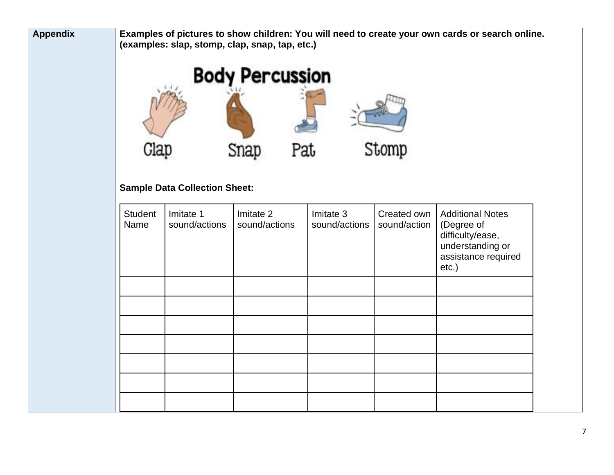| <b>Appendix</b> | Examples of pictures to show children: You will need to create your own cards or search online.<br>(examples: slap, stomp, clap, snap, tap, etc.)<br><b>Body Percussion</b> |                                      |                            |                            |                             |                                                                                                                  |  |
|-----------------|-----------------------------------------------------------------------------------------------------------------------------------------------------------------------------|--------------------------------------|----------------------------|----------------------------|-----------------------------|------------------------------------------------------------------------------------------------------------------|--|
|                 | Glap                                                                                                                                                                        | <b>Sample Data Collection Sheet:</b> | Pat<br>Snap                |                            | Stomp                       |                                                                                                                  |  |
|                 | <b>Student</b><br>Name                                                                                                                                                      | Imitate 1<br>sound/actions           | Imitate 2<br>sound/actions | Imitate 3<br>sound/actions | Created own<br>sound/action | <b>Additional Notes</b><br>(Degree of<br>difficulty/ease,<br>understanding or<br>assistance required<br>$etc.$ ) |  |
|                 |                                                                                                                                                                             |                                      |                            |                            |                             |                                                                                                                  |  |
|                 |                                                                                                                                                                             |                                      |                            |                            |                             |                                                                                                                  |  |